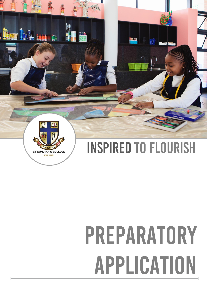

# PREPARATORY APPLICATION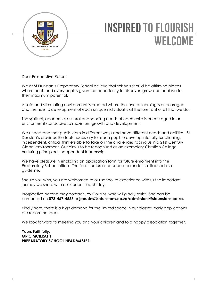

# **INSPIRED TO FLOURISH WELCOME**

Dear Prospective Parent

We at St Dunstan's Preparatory School believe that schools should be affirming places where each and every pupil is given the opportunity to discover, grow and achieve to their maximum potential.

A safe and stimulating environment is created where the love of learning is encouraged and the holistic development of each unique individual is at the forefront of all that we do.

The spiritual, academic, cultural and sporting needs of each child is encouraged in an environment conducive to maximum growth and development.

We understand that pupils learn in different ways and have different needs and abilities. St Dunstan's provides the tools necessary for each pupil to develop into fully functioning, independent, critical thinkers able to take on the challenges facing us in a 21st Century Global environment. Our aim is to be recognised as an exemplary Christian College nurturing principled, independent leadership.

We have pleasure in enclosing an application form for future enrolment into the Preparatory School office. The fee structure and school calendar is attached as a guideline.

Should you wish, you are welcomed to our school to experience with us the important journey we share with our students each day.

Prospective parents may contact Joy Cousins, who will gladly assist. She can be contacted on **073-467-4566** or **jcousins@stdunstans.co.za**/**admissions@stdunstans.co.za.**

Kindly note, there is a high demand for the limited space in our classes, early applications are recommended.

We look forward to meeting you and your children and to a happy association together.

**Yours Faithfully, MR C MCILRATH PREPARATORY SCHOOL HEADMASTER**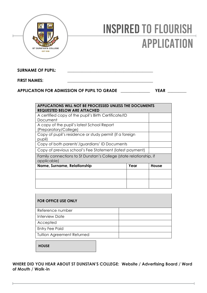

# **INSPIRED TO FLOURISH APPLICATION**

SURNAME OF PUPIL:

#### **FIRST NAMES:**

#### **APPLICATION FOR ADMISSION OF PUPIL TO GRADE \_\_\_\_\_\_\_\_\_\_\_\_\_\_ YEAR \_\_\_\_\_\_\_\_\_**

| APPLICATIONS WILL NOT BE PROCESSED UNLESS THE DOCUMENTS<br><b>REQUESTED BELOW ARE ATTACHED</b> |      |       |  |
|------------------------------------------------------------------------------------------------|------|-------|--|
| A certified copy of the pupil's Birth Certificate/ID                                           |      |       |  |
| Document                                                                                       |      |       |  |
| A copy of the pupil's latest School Report                                                     |      |       |  |
| (Preparatory/College)                                                                          |      |       |  |
| Copy of pupil's residence or study permit (if a foreign                                        |      |       |  |
| pupil)                                                                                         |      |       |  |
| Copy of both parents'/guardians' ID Documents                                                  |      |       |  |
| Copy of previous school's Fee Statement (latest payment)                                       |      |       |  |
| Family connections to St Dunstan's College (state relationship, if<br>applicable)              |      |       |  |
| Name, Surname, Relationship                                                                    | Year | House |  |
|                                                                                                |      |       |  |
|                                                                                                |      |       |  |
|                                                                                                |      |       |  |
|                                                                                                |      |       |  |

| <b>FOR OFFICE USE ONLY</b>        |  |
|-----------------------------------|--|
| Reference number                  |  |
| <b>Interview Date</b>             |  |
| Accepted                          |  |
| <b>Entry Fee Paid</b>             |  |
| <b>Tuition Agreement Returned</b> |  |

**HOUSE**

**WHERE DID YOU HEAR ABOUT ST DUNSTAN'S COLLEGE: Website / Advertising Board / Word of Mouth / Walk-in**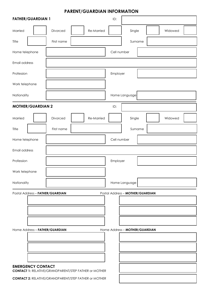## **PARENT/GUARDIAN INFORMATION**

|                | <b>FATHER/GUARDIAN 1</b> |                                                              |            | ID:         |                                  |         |  |
|----------------|--------------------------|--------------------------------------------------------------|------------|-------------|----------------------------------|---------|--|
| Married        |                          | Divorced                                                     | Re-Married |             | Single                           | Widowed |  |
| Title          |                          | First name                                                   |            |             | Surname                          |         |  |
| Home telephone |                          |                                                              |            | Cell number |                                  |         |  |
| Email address  |                          |                                                              |            |             |                                  |         |  |
| Profession     |                          |                                                              |            | Employer    |                                  |         |  |
| Work telephone |                          |                                                              |            |             |                                  |         |  |
| Nationality    |                          |                                                              |            |             | Home Language                    |         |  |
|                | <b>MOTHER/GUARDIAN 2</b> |                                                              |            | ID:         |                                  |         |  |
| Married        |                          | Divorced                                                     | Re-Married |             | Single                           | Widowed |  |
| Title          |                          | First name                                                   |            |             | Surname                          |         |  |
| Home telephone |                          |                                                              |            | Cell number |                                  |         |  |
| Email address  |                          |                                                              |            |             |                                  |         |  |
| Profession     |                          |                                                              |            | Employer    |                                  |         |  |
| Work telephone |                          |                                                              |            |             |                                  |         |  |
| Nationality    |                          |                                                              |            |             | Home Language                    |         |  |
|                |                          | Postal Address - FATHER/GUARDIAN                             |            |             | Postal Address - MOTHER/GUARDIAN |         |  |
|                |                          |                                                              |            |             |                                  |         |  |
|                |                          |                                                              |            |             |                                  |         |  |
|                |                          |                                                              |            |             |                                  |         |  |
|                |                          | Home Address - FATHER/GUARDIAN                               |            |             | Home Address - MOTHER/GUARDIAN   |         |  |
|                |                          |                                                              |            |             |                                  |         |  |
|                |                          |                                                              |            |             |                                  |         |  |
|                | <b>EMERGENCY CONTACT</b> | <b>CONTACT 1: RELATIVE/GRANDPARENT/STEP FATHER or MOTHER</b> |            |             |                                  |         |  |
|                |                          | <b>CONTACT 2: RELATIVE/GRANDPARENT/STEP FATHER or MOTHER</b> |            |             |                                  |         |  |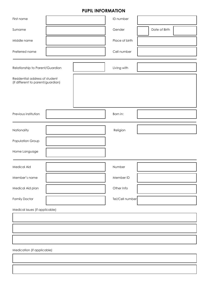## **PUPIL INFORMATION**

| First name                                                          |  |             | ID number       |               |
|---------------------------------------------------------------------|--|-------------|-----------------|---------------|
| Surname                                                             |  |             | Gender          | Date of Birth |
| Middle name                                                         |  |             | Place of birth  |               |
| Preferred name                                                      |  |             | Cell number     |               |
| Relationship to Parent/Guardian                                     |  | Living with |                 |               |
| Residential address of student<br>(if different to parent/guardian) |  |             |                 |               |
| Previous institution                                                |  |             | Born in:        |               |
| Nationality                                                         |  |             | Religion        |               |
| Population Group                                                    |  |             |                 |               |
| Home Language                                                       |  |             |                 |               |
| Medical Aid                                                         |  |             | Number          |               |
| Member's name                                                       |  |             | Member ID       |               |
| Medical Aid plan                                                    |  |             | Other Info      |               |
| Family Doctor                                                       |  |             | Tel/Cell number |               |
| Medical issues (if applicable)                                      |  |             |                 |               |
|                                                                     |  |             |                 |               |
|                                                                     |  |             |                 |               |
|                                                                     |  |             |                 |               |
| Medication (if applicable)                                          |  |             |                 |               |
|                                                                     |  |             |                 |               |
|                                                                     |  |             |                 |               |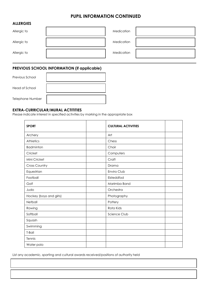#### **PUPIL INFORMATION CONTINUED**

#### **ALLERGIES**

| Allergic to | Medication |  |
|-------------|------------|--|
| Allergic to | Medication |  |
| Allergic to | Medication |  |

#### **PREVIOUS SCHOOL INFORMATION (if applicable)**

| Previous School  |  |
|------------------|--|
| Head of School   |  |
| Telephone Number |  |

#### **EXTRA-CURRICULAR/MURAL ACTITITIES**

Please indicate interest in specified activities by marking in the appropriate box

| <b>SPORT</b>            | <b>CULTURAL ACTIVITIES</b> |  |
|-------------------------|----------------------------|--|
| Archery                 | Art                        |  |
| <b>Athletics</b>        | Chess                      |  |
| <b>Badminton</b>        | Choir                      |  |
| Cricket                 | Computers                  |  |
| Mini Cricket            | Craft                      |  |
| <b>Cross Country</b>    | Drama                      |  |
| Equestrian              | Enviro Club                |  |
| Football                | Eisteddfod                 |  |
| Golf                    | Marimba Band               |  |
| Judo                    | Orchestra                  |  |
| Hockey (boys and girls) | Photography                |  |
| Netball                 | Pottery                    |  |
| Rowing                  | Rota Kids                  |  |
| Softball                | Science Club               |  |
| Squash                  |                            |  |
| Swimming                |                            |  |
| T-Ball                  |                            |  |
| Tennis                  |                            |  |
| Water polo              |                            |  |

List any academic, sporting and cultural awards received/positions of authority held